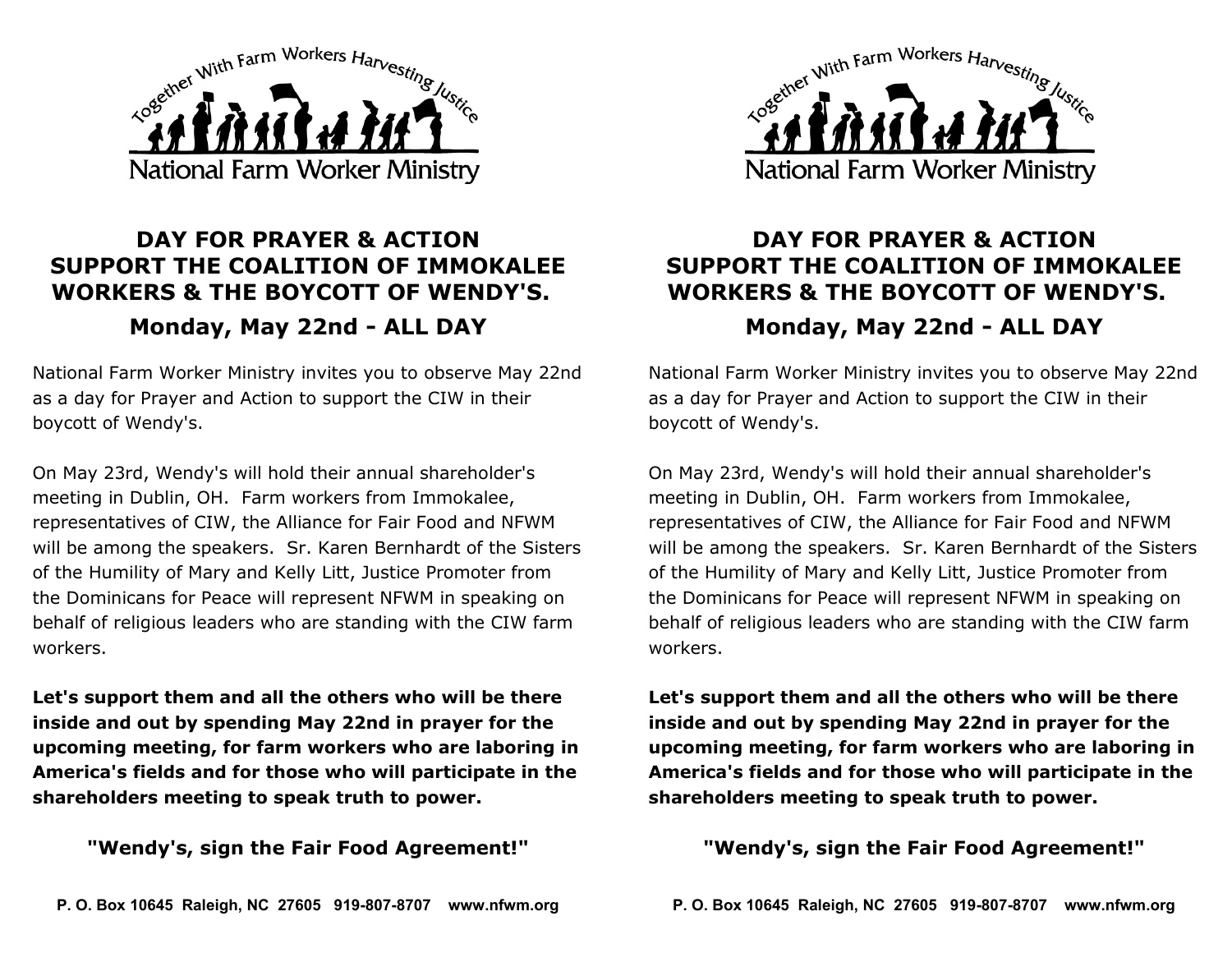

## **DAY FOR PRAYER & ACTION SUPPORT THE COALITION OF IMMOKALEE WORKERS & THE BOYCOTT OF WENDY'S. Monday, May 22nd - ALL DAY**

National Farm Worker Ministry invites you to observe May 22nd as a day for Prayer and Action to support the CIW in their boycott of Wendy's.

On May 23rd, Wendy's will hold their annual shareholder's meeting in Dublin, OH. Farm workers from Immokalee, representatives of CIW, the Alliance for Fair Food and NFWM will be among the speakers. Sr. Karen Bernhardt of the Sisters of the Humility of Mary and Kelly Litt, Justice Promoter from the Dominicans for Peace will represent NFWM in speaking on behalf of religious leaders who are standing with the CIW farm workers.

**Let's support them and all the others who will be there inside and out by spending May 22nd in prayer for the upcoming meeting, for farm workers who are laboring in America's fields and for those who will participate in the shareholders meeting to speak truth to power.** 

**"Wendy's, sign the Fair Food Agreement!"**



## **DAY FOR PRAYER & ACTION SUPPORT THE COALITION OF IMMOKALEE WORKERS & THE BOYCOTT OF WENDY'S. Monday, May 22nd - ALL DAY**

National Farm Worker Ministry invites you to observe May 22nd as a day for Prayer and Action to support the CIW in their boycott of Wendy's.

On May 23rd, Wendy's will hold their annual shareholder's meeting in Dublin, OH. Farm workers from Immokalee, representatives of CIW, the Alliance for Fair Food and NFWM will be among the speakers. Sr. Karen Bernhardt of the Sisters of the Humility of Mary and Kelly Litt, Justice Promoter from the Dominicans for Peace will represent NFWM in speaking on behalf of religious leaders who are standing with the CIW farm workers.

**Let's support them and all the others who will be there inside and out by spending May 22nd in prayer for the upcoming meeting, for farm workers who are laboring in America's fields and for those who will participate in the shareholders meeting to speak truth to power.** 

**"Wendy's, sign the Fair Food Agreement!"**